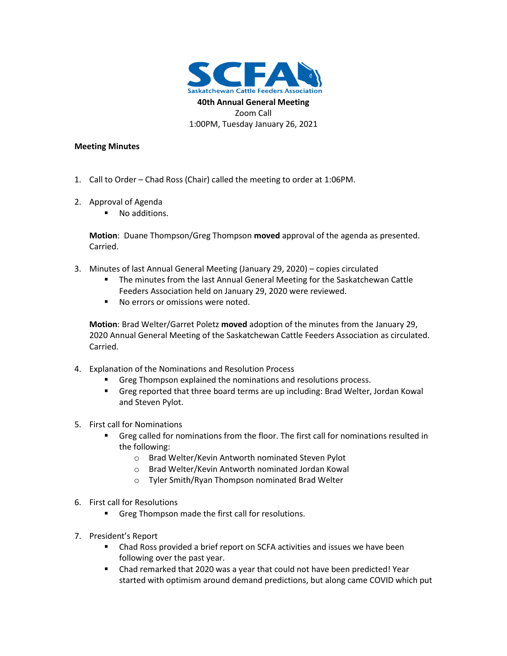

## **Meeting Minutes**

- 1. Call to Order Chad Ross (Chair) called the meeting to order at 1:06PM.
- 2. Approval of Agenda
	- No additions.

**Motion**: Duane Thompson/Greg Thompson **moved** approval of the agenda as presented. Carried.

- 3. Minutes of last Annual General Meeting (January 29, 2020) copies circulated
	- The minutes from the last Annual General Meeting for the Saskatchewan Cattle Feeders Association held on January 29, 2020 were reviewed.
	- No errors or omissions were noted.

**Motion**: Brad Welter/Garret Poletz **moved** adoption of the minutes from the January 29, 2020 Annual General Meeting of the Saskatchewan Cattle Feeders Association as circulated. Carried.

- 4. Explanation of the Nominations and Resolution Process
	- Greg Thompson explained the nominations and resolutions process.
	- Greg reported that three board terms are up including: Brad Welter, Jordan Kowal and Steven Pylot.
- 5. First call for Nominations
	- Greg called for nominations from the floor. The first call for nominations resulted in the following:
		- o Brad Welter/Kevin Antworth nominated Steven Pylot
		- o Brad Welter/Kevin Antworth nominated Jordan Kowal
		- o Tyler Smith/Ryan Thompson nominated Brad Welter
- 6. First call for Resolutions
	- Greg Thompson made the first call for resolutions.
- 7. President's Report
	- Chad Ross provided a brief report on SCFA activities and issues we have been following over the past year.
	- Chad remarked that 2020 was a year that could not have been predicted! Year started with optimism around demand predictions, but along came COVID which put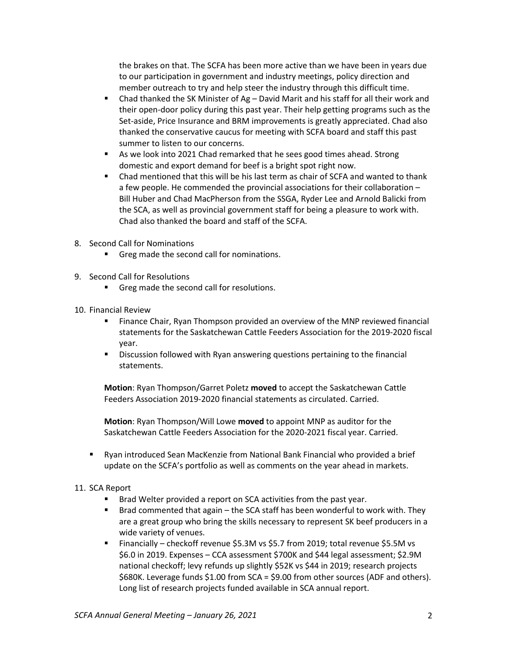the brakes on that. The SCFA has been more active than we have been in years due to our participation in government and industry meetings, policy direction and member outreach to try and help steer the industry through this difficult time.

- **•** Chad thanked the SK Minister of  $Ag David$  Marit and his staff for all their work and their open-door policy during this past year. Their help getting programs such as the Set-aside, Price Insurance and BRM improvements is greatly appreciated. Chad also thanked the conservative caucus for meeting with SCFA board and staff this past summer to listen to our concerns.
- As we look into 2021 Chad remarked that he sees good times ahead. Strong domestic and export demand for beef is a bright spot right now.
- Chad mentioned that this will be his last term as chair of SCFA and wanted to thank a few people. He commended the provincial associations for their collaboration – Bill Huber and Chad MacPherson from the SSGA, Ryder Lee and Arnold Balicki from the SCA, as well as provincial government staff for being a pleasure to work with. Chad also thanked the board and staff of the SCFA.
- 8. Second Call for Nominations
	- Greg made the second call for nominations.
- 9. Second Call for Resolutions
	- Greg made the second call for resolutions.
- 10. Financial Review
	- Finance Chair, Ryan Thompson provided an overview of the MNP reviewed financial statements for the Saskatchewan Cattle Feeders Association for the 2019-2020 fiscal year.
	- Discussion followed with Ryan answering questions pertaining to the financial statements.

**Motion**: Ryan Thompson/Garret Poletz **moved** to accept the Saskatchewan Cattle Feeders Association 2019-2020 financial statements as circulated. Carried.

**Motion**: Ryan Thompson/Will Lowe **moved** to appoint MNP as auditor for the Saskatchewan Cattle Feeders Association for the 2020-2021 fiscal year. Carried.

▪ Ryan introduced Sean MacKenzie from National Bank Financial who provided a brief update on the SCFA's portfolio as well as comments on the year ahead in markets.

## 11. SCA Report

- Brad Welter provided a report on SCA activities from the past year.
- Brad commented that again the SCA staff has been wonderful to work with. They are a great group who bring the skills necessary to represent SK beef producers in a wide variety of venues.
- Financially checkoff revenue \$5.3M vs \$5.7 from 2019; total revenue \$5.5M vs \$6.0 in 2019. Expenses – CCA assessment \$700K and \$44 legal assessment; \$2.9M national checkoff; levy refunds up slightly \$52K vs \$44 in 2019; research projects \$680K. Leverage funds \$1.00 from SCA = \$9.00 from other sources (ADF and others). Long list of research projects funded available in SCA annual report.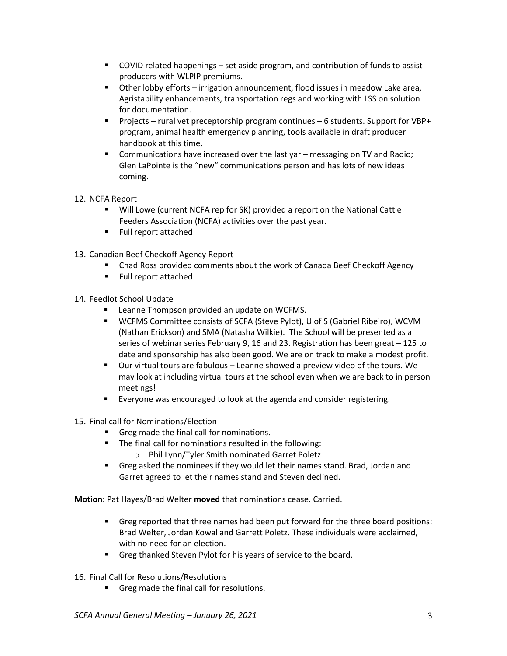- COVID related happenings set aside program, and contribution of funds to assist producers with WLPIP premiums.
- Other lobby efforts irrigation announcement, flood issues in meadow Lake area, Agristability enhancements, transportation regs and working with LSS on solution for documentation.
- Projects rural vet preceptorship program continues 6 students. Support for VBP+ program, animal health emergency planning, tools available in draft producer handbook at this time.
- Communications have increased over the last yar messaging on TV and Radio; Glen LaPointe is the "new" communications person and has lots of new ideas coming.
- 12. NCFA Report
	- Will Lowe (current NCFA rep for SK) provided a report on the National Cattle Feeders Association (NCFA) activities over the past year.
	- Full report attached
- 13. Canadian Beef Checkoff Agency Report
	- **Chad Ross provided comments about the work of Canada Beef Checkoff Agency**
	- Full report attached
- 14. Feedlot School Update
	- Leanne Thompson provided an update on WCFMS.
	- WCFMS Committee consists of SCFA (Steve Pylot), U of S (Gabriel Ribeiro), WCVM (Nathan Erickson) and SMA (Natasha Wilkie). The School will be presented as a series of webinar series February 9, 16 and 23. Registration has been great – 125 to date and sponsorship has also been good. We are on track to make a modest profit.
	- Our virtual tours are fabulous Leanne showed a preview video of the tours. We may look at including virtual tours at the school even when we are back to in person meetings!
	- Everyone was encouraged to look at the agenda and consider registering.
- 15. Final call for Nominations/Election
	- Greg made the final call for nominations.
	- The final call for nominations resulted in the following:
		- o Phil Lynn/Tyler Smith nominated Garret Poletz
	- Greg asked the nominees if they would let their names stand. Brad, Jordan and Garret agreed to let their names stand and Steven declined.

**Motion**: Pat Hayes/Brad Welter **moved** that nominations cease. Carried.

- Greg reported that three names had been put forward for the three board positions: Brad Welter, Jordan Kowal and Garrett Poletz. These individuals were acclaimed, with no need for an election.
- Greg thanked Steven Pylot for his years of service to the board.
- 16. Final Call for Resolutions/Resolutions
	- Greg made the final call for resolutions.